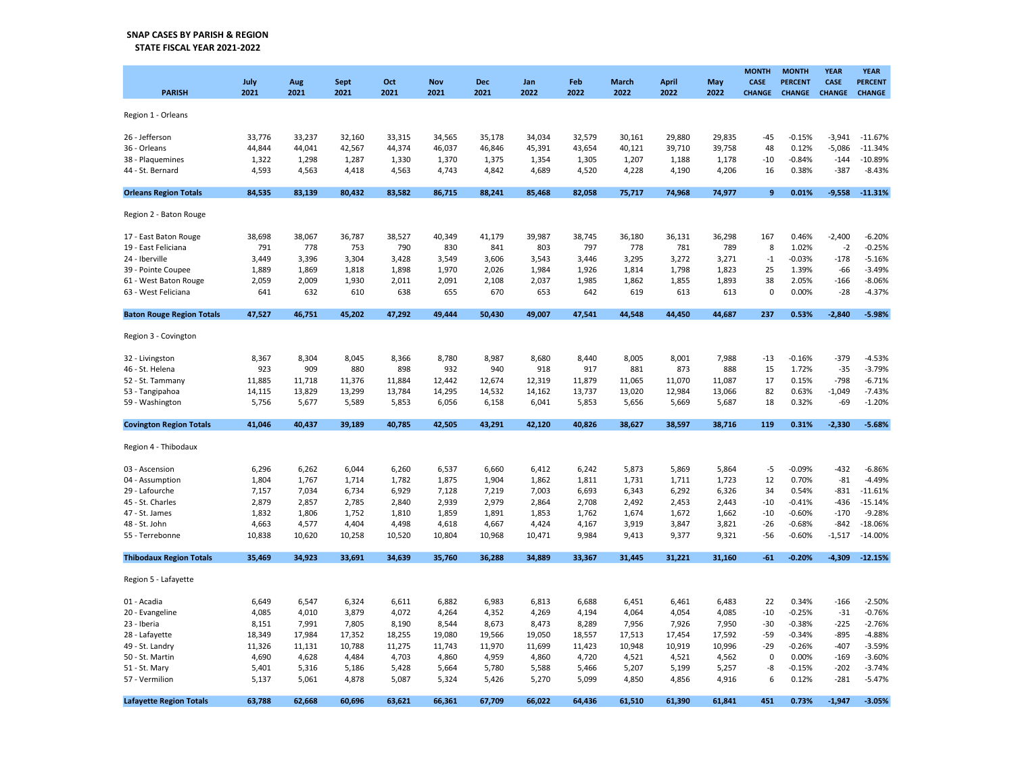## SNAP CASES BY PARISH & REGION STATE FISCAL YEAR 2021-2022

| <b>PARISH</b>                    | July<br>2021 | Aug<br>2021 | <b>Sept</b><br>2021 | Oct<br>2021 | <b>Nov</b><br>2021 | Dec<br>2021 | Jan<br>2022 | Feb<br>2022 | March<br>2022 | <b>April</b><br>2022 | May<br>2022 | <b>MONTH</b><br>CASE<br><b>CHANGE</b> | <b>MONTH</b><br><b>PERCENT</b><br><b>CHANGE</b> | <b>YEAR</b><br>CASE<br><b>CHANGE</b> | <b>YEAR</b><br><b>PERCENT</b><br><b>CHANGE</b> |
|----------------------------------|--------------|-------------|---------------------|-------------|--------------------|-------------|-------------|-------------|---------------|----------------------|-------------|---------------------------------------|-------------------------------------------------|--------------------------------------|------------------------------------------------|
| Region 1 - Orleans               |              |             |                     |             |                    |             |             |             |               |                      |             |                                       |                                                 |                                      |                                                |
| 26 - Jefferson                   | 33,776       | 33,237      | 32,160              | 33,315      | 34,565             | 35,178      | 34,034      | 32,579      | 30,161        | 29,880               | 29,835      | $-45$                                 | $-0.15%$                                        | $-3,941$                             | $-11.67%$                                      |
| 36 - Orleans                     | 44,844       | 44,041      | 42,567              | 44,374      | 46,037             | 46,846      | 45,391      | 43,654      | 40,121        | 39,710               | 39,758      | 48                                    | 0.12%                                           | $-5,086$                             | $-11.34%$                                      |
| 38 - Plaquemines                 | 1,322        | 1,298       | 1,287               | 1,330       | 1,370              | 1,375       | 1,354       | 1,305       | 1,207         | 1,188                | 1,178       | -10                                   | $-0.84%$                                        | $-144$                               | $-10.89%$                                      |
| 44 - St. Bernard                 | 4,593        | 4,563       | 4,418               | 4,563       | 4,743              | 4,842       | 4,689       | 4,520       | 4,228         | 4,190                | 4,206       | 16                                    | 0.38%                                           | $-387$                               | $-8.43%$                                       |
| <b>Orleans Region Totals</b>     | 84,535       | 83,139      | 80,432              | 83,582      | 86,715             | 88,241      | 85,468      | 82,058      | 75,717        | 74,968               | 74,977      | 9                                     | 0.01%                                           | $-9.558$                             | $-11.31%$                                      |
| Region 2 - Baton Rouge           |              |             |                     |             |                    |             |             |             |               |                      |             |                                       |                                                 |                                      |                                                |
| 17 - East Baton Rouge            | 38,698       | 38,067      | 36,787              | 38,527      | 40,349             | 41,179      | 39,987      | 38,745      | 36,180        | 36,131               | 36,298      | 167                                   | 0.46%                                           | $-2,400$                             | $-6.20%$                                       |
| 19 - East Feliciana              | 791          | 778         | 753                 | 790         | 830                | 841         | 803         | 797         | 778           | 781                  | 789         | 8                                     | 1.02%                                           | $-2$                                 | $-0.25%$                                       |
| 24 - Iberville                   | 3,449        | 3,396       | 3,304               | 3,428       | 3,549              | 3,606       | 3,543       | 3,446       | 3,295         | 3,272                | 3,271       | $-1$                                  | $-0.03%$                                        | $-178$                               | $-5.16%$                                       |
| 39 - Pointe Coupee               | 1,889        | 1,869       | 1,818               | 1,898       | 1,970              | 2,026       | 1,984       | 1,926       | 1,814         | 1,798                | 1,823       | 25                                    | 1.39%                                           | $-66$                                | $-3.49%$                                       |
| 61 - West Baton Rouge            | 2,059        | 2,009       | 1,930               | 2,011       | 2,091              | 2,108       | 2,037       | 1,985       | 1,862         | 1,855                | 1,893       | 38                                    | 2.05%                                           | $-166$                               | $-8.06%$                                       |
| 63 - West Feliciana              | 641          | 632         | 610                 | 638         | 655                | 670         | 653         | 642         | 619           | 613                  | 613         | $\mathbf 0$                           | 0.00%                                           | $-28$                                | $-4.37%$                                       |
| <b>Baton Rouge Region Totals</b> | 47,527       | 46,751      | 45,202              | 47,292      | 49,444             | 50,430      | 49,007      | 47,541      | 44,548        | 44,450               | 44,687      | 237                                   | 0.53%                                           | $-2,840$                             | $-5.98%$                                       |
| Region 3 - Covington             |              |             |                     |             |                    |             |             |             |               |                      |             |                                       |                                                 |                                      |                                                |
| 32 - Livingston                  | 8,367        | 8,304       | 8,045               | 8,366       | 8,780              | 8,987       | 8,680       | 8,440       | 8,005         | 8,001                | 7,988       | $-13$                                 | $-0.16%$                                        | $-379$                               | $-4.53%$                                       |
| 46 - St. Helena                  | 923          | 909         | 880                 | 898         | 932                | 940         | 918         | 917         | 881           | 873                  | 888         | 15                                    | 1.72%                                           | $-35$                                | $-3.79%$                                       |
| 52 - St. Tammany                 | 11,885       | 11,718      | 11,376              | 11,884      | 12,442             | 12,674      | 12,319      | 11,879      | 11,065        | 11,070               | 11,087      | 17                                    | 0.15%                                           | $-798$                               | $-6.71%$                                       |
| 53 - Tangipahoa                  | 14,115       | 13,829      | 13,299              | 13,784      | 14,295             | 14,532      | 14,162      | 13,737      | 13,020        | 12,984               | 13,066      | 82                                    | 0.63%                                           | $-1,049$                             | $-7.43%$                                       |
| 59 - Washington                  | 5,756        | 5,677       | 5,589               | 5,853       | 6,056              | 6,158       | 6,041       | 5,853       | 5,656         | 5,669                | 5,687       | 18                                    | 0.32%                                           | $-69$                                | $-1.20%$                                       |
| <b>Covington Region Totals</b>   | 41,046       | 40,437      | 39,189              | 40,785      | 42,505             | 43,291      | 42,120      | 40,826      | 38,627        | 38,597               | 38,716      | 119                                   | 0.31%                                           | $-2,330$                             | $-5.68%$                                       |
| Region 4 - Thibodaux             |              |             |                     |             |                    |             |             |             |               |                      |             |                                       |                                                 |                                      |                                                |
| 03 - Ascension                   | 6,296        | 6,262       | 6,044               | 6,260       | 6,537              | 6,660       | 6,412       | 6,242       | 5,873         | 5,869                | 5,864       | $-5$                                  | $-0.09%$                                        | $-432$                               | $-6.86%$                                       |
| 04 - Assumption                  | 1,804        | 1,767       | 1,714               | 1,782       | 1,875              | 1,904       | 1,862       | 1,811       | 1,731         | 1,711                | 1,723       | 12                                    | 0.70%                                           | $-81$                                | $-4.49%$                                       |
| 29 - Lafourche                   | 7,157        | 7,034       | 6,734               | 6,929       | 7,128              | 7,219       | 7,003       | 6,693       | 6,343         | 6,292                | 6,326       | 34                                    | 0.54%                                           | $-831$                               | $-11.61%$                                      |
| 45 - St. Charles                 | 2,879        | 2,857       | 2,785               | 2,840       | 2,939              | 2,979       | 2,864       | 2,708       | 2,492         | 2,453                | 2,443       | $-10$                                 | $-0.41%$                                        | -436                                 | $-15.14%$                                      |
| 47 - St. James                   | 1,832        | 1,806       | 1,752               | 1,810       | 1,859              | 1,891       | 1,853       | 1,762       | 1,674         | 1,672                | 1,662       | $-10$                                 | $-0.60%$                                        | $-170$                               | $-9.28%$                                       |
| 48 - St. John                    | 4,663        | 4,577       | 4,404               | 4,498       | 4,618              | 4,667       | 4,424       | 4,167       | 3,919         | 3,847                | 3,821       | $-26$                                 | $-0.68%$                                        | $-842$                               | $-18.06%$                                      |
| 55 - Terrebonne                  | 10,838       | 10,620      | 10,258              | 10,520      | 10,804             | 10,968      | 10,471      | 9,984       | 9,413         | 9,377                | 9,321       | $-56$                                 | $-0.60%$                                        | $-1,517$                             | $-14.00%$                                      |
| <b>Thibodaux Region Totals</b>   | 35,469       | 34.923      | 33,691              | 34,639      | 35,760             | 36,288      | 34,889      | 33,367      | 31,445        | 31,221               | 31,160      | $-61$                                 | $-0.20%$                                        | $-4,309$                             | $-12.15%$                                      |
| Region 5 - Lafayette             |              |             |                     |             |                    |             |             |             |               |                      |             |                                       |                                                 |                                      |                                                |
| 01 - Acadia                      | 6,649        | 6,547       | 6,324               | 6,611       | 6,882              | 6,983       | 6,813       | 6,688       | 6,451         | 6,461                | 6,483       | 22                                    | 0.34%                                           | $-166$                               | $-2.50%$                                       |
| 20 - Evangeline                  | 4,085        | 4,010       | 3,879               | 4,072       | 4,264              | 4,352       | 4,269       | 4,194       | 4,064         | 4,054                | 4,085       | $-10$                                 | $-0.25%$                                        | $-31$                                | $-0.76%$                                       |
| 23 - Iberia                      | 8,151        | 7,991       | 7,805               | 8,190       | 8,544              | 8,673       | 8,473       | 8,289       | 7,956         | 7,926                | 7,950       | $-30$                                 | $-0.38%$                                        | $-225$                               | $-2.76%$                                       |
| 28 - Lafayette                   | 18,349       | 17,984      | 17,352              | 18,255      | 19,080             | 19,566      | 19,050      | 18,557      | 17,513        | 17,454               | 17,592      | $-59$                                 | $-0.34%$                                        | -895                                 | $-4.88%$                                       |
| 49 - St. Landry                  | 11,326       | 11,131      | 10,788              | 11,275      | 11,743             | 11,970      | 11,699      | 11,423      | 10,948        | 10,919               | 10,996      | $-29$                                 | $-0.26%$                                        | $-407$                               | $-3.59%$                                       |
| 50 - St. Martin                  | 4,690        | 4,628       | 4,484               | 4,703       | 4,860              | 4,959       | 4,860       | 4,720       | 4,521         | 4,521                | 4,562       | 0                                     | 0.00%                                           | $-169$                               | $-3.60%$                                       |
| 51 - St. Mary                    | 5,401        | 5,316       | 5,186               | 5,428       | 5,664              | 5,780       | 5,588       | 5,466       | 5,207         | 5,199                | 5,257       | -8                                    | $-0.15%$                                        | $-202$                               | $-3.74%$                                       |
| 57 - Vermilion                   | 5,137        | 5,061       | 4,878               | 5,087       | 5,324              | 5,426       | 5,270       | 5,099       | 4,850         | 4,856                | 4,916       | 6                                     | 0.12%                                           | $-281$                               | $-5.47%$                                       |
| <b>Lafayette Region Totals</b>   | 63,788       | 62,668      | 60,696              | 63,621      | 66,361             | 67,709      | 66,022      | 64,436      | 61,510        | 61,390               | 61,841      | 451                                   | 0.73%                                           | $-1.947$                             | $-3.05%$                                       |